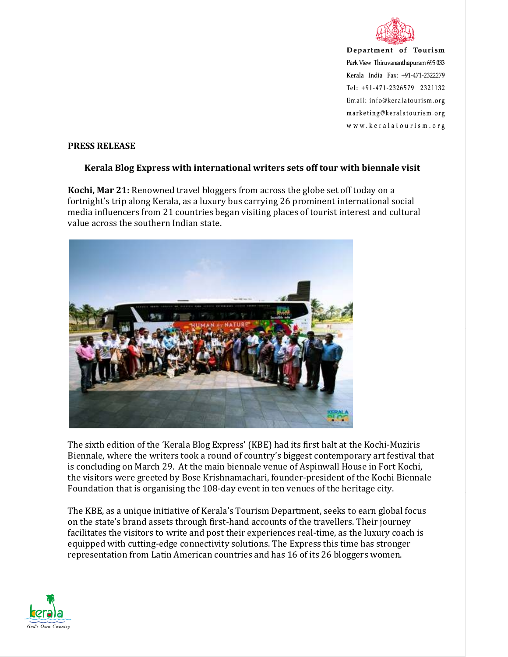

Department of Tourism Park View Thiruvananthapuram 695 033 Kerala India Fax: +91-471-2322279 Tel: +91-471-2326579 2321132 Email: info@keralatourism.org marketing@keralatourism.org www.keralatourism.org

## **PRESS RELEASE**

## **Kerala Blog Express with international writers sets off tour with biennale visit**

**Kochi, Mar 21:** Renowned travel bloggers from across the globe set off today on a fortnight's trip along Kerala, as a luxury bus carrying 26 prominent international social media influencers from 21 countries began visiting places of tourist interest and cultural value across the southern Indian state.



The sixth edition of the 'Kerala Blog Express' (KBE) had its first halt at the Kochi-Muziris Biennale, where the writers took a round of country's biggest contemporary art festival that is concluding on March 29. At the main biennale venue of Aspinwall House in Fort Kochi, the visitors were greeted by Bose Krishnamachari, founder-president of the Kochi Biennale Foundation that is organising the 108-day event in ten venues of the heritage city.

The KBE, as a unique initiative of Kerala's Tourism Department, seeks to earn global focus on the state's brand assets through first-hand accounts of the travellers. Their journey facilitates the visitors to write and post their experiences real-time, as the luxury coach is equipped with cutting-edge connectivity solutions. The Express this time has stronger representation from Latin American countries and has 16 of its 26 bloggers women.

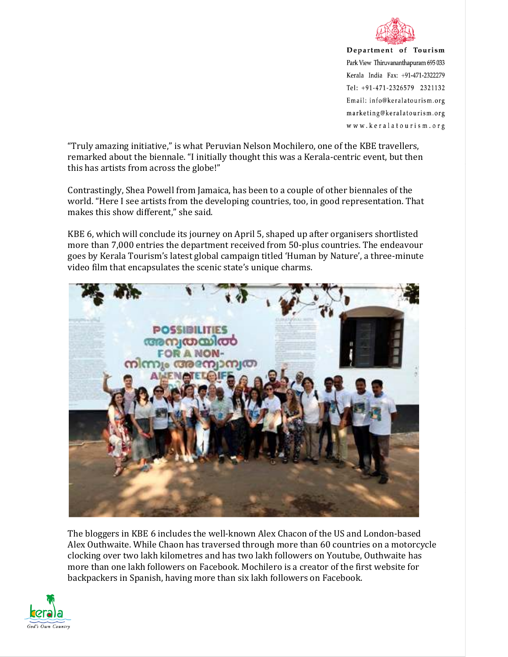

Department of Tourism Park View Thiruvananthapuram 695 033 Kerala India Fax: +91-471-2322279 Tel: +91-471-2326579 2321132 Email: info@keralatourism.org marketing@keralatourism.org www.keralatourism.org

"Truly amazing initiative," is what Peruvian Nelson Mochilero, one of the KBE travellers, remarked about the biennale. "I initially thought this was a Kerala-centric event, but then this has artists from across the globe!"

Contrastingly, Shea Powell from Jamaica, has been to a couple of other biennales of the world. "Here I see artists from the developing countries, too, in good representation. That makes this show different," she said.

KBE 6, which will conclude its journey on April 5, shaped up after organisers shortlisted more than 7,000 entries the department received from 50-plus countries. The endeavour goes by Kerala Tourism's latest global campaign titled 'Human by Nature', a three-minute video film that encapsulates the scenic state's unique charms.



The bloggers in KBE 6 includes the well-known Alex Chacon of the US and London-based Alex Outhwaite. While Chaon has traversed through more than 60 countries on a motorcycle clocking over two lakh kilometres and has two lakh followers on Youtube, Outhwaite has more than one lakh followers on Facebook. Mochilero is a creator of the first website for backpackers in Spanish, having more than six lakh followers on Facebook.